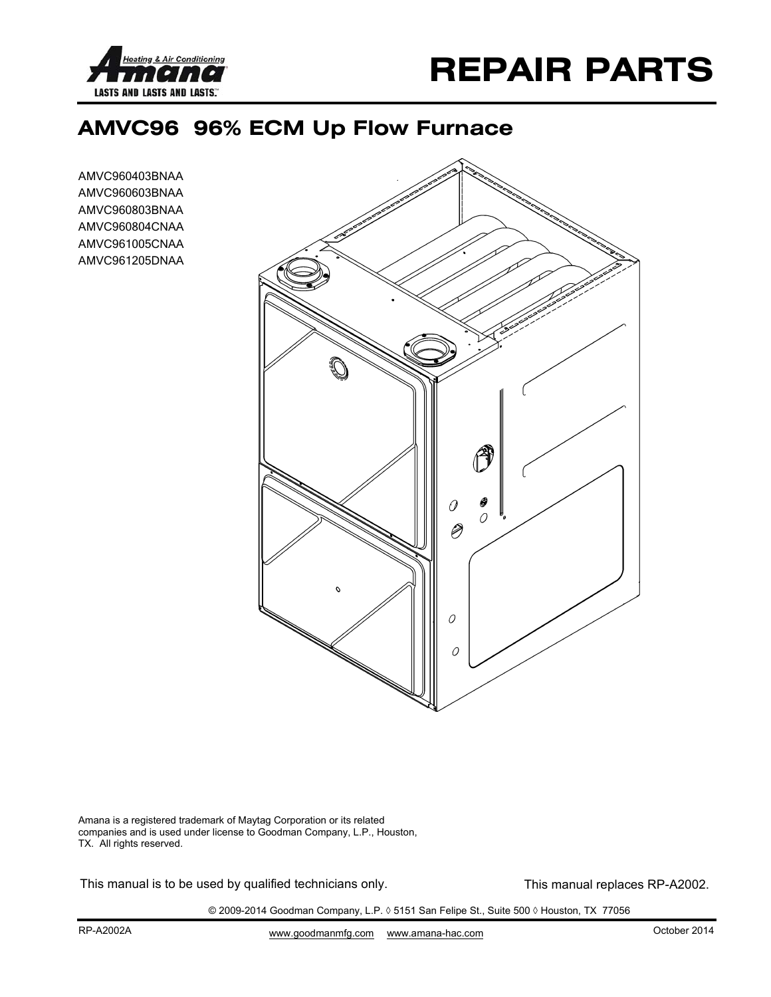



## **AMVC96 96% ECM Up Flow Furnace**

AMVC960403BNAA AMVC960603BNAA AMVC960803BNAA AMVC960804CNAA AMVC961005CNAA AMVC961205DNAA



Amana is a registered trademark of Maytag Corporation or its related companies and is used under license to Goodman Company, L.P., Houston, TX. All rights reserved.

This manual is to be used by qualified technicians only. This manual replaces RP-A2002.

© 2009-2014 Goodman Company, L.P. ◊ 5151 San Felipe St., Suite 500 ◊ Houston, TX 77056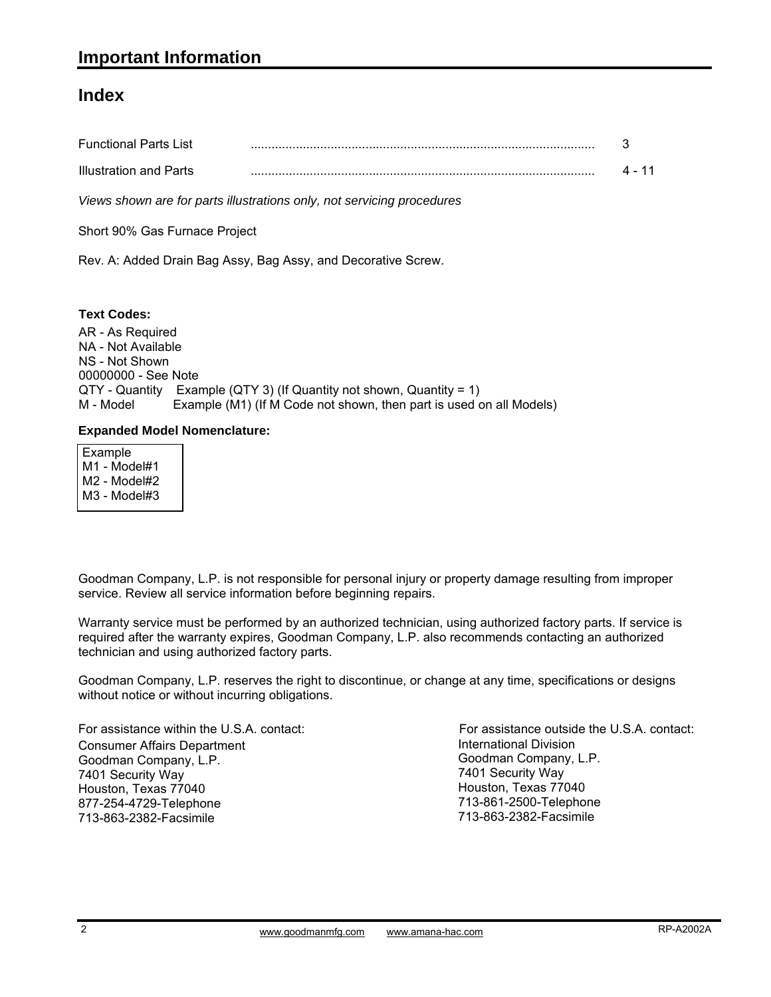#### **Index**

| <b>Functional Parts List</b> |  |
|------------------------------|--|
| Illustration and Parts       |  |

*Views shown are for parts illustrations only, not servicing procedures*

Short 90% Gas Furnace Project

Rev. A: Added Drain Bag Assy, Bag Assy, and Decorative Screw.

**Text Codes:**

AR - As Required NA - Not Available NS - Not Shown 00000000 - See Note QTY - Quantity Example (QTY 3) (If Quantity not shown, Quantity = 1) M - Model Example (M1) (If M Code not shown, then part is used on all Models)

#### **Expanded Model Nomenclature:**

 Example M1 - Model#1 M2 - Model#2 M3 - Model#3

Goodman Company, L.P. is not responsible for personal injury or property damage resulting from improper service. Review all service information before beginning repairs.

Warranty service must be performed by an authorized technician, using authorized factory parts. If service is Warranty service must be performed by an authorized technician, using authorized factory parts. If service is required after the warranty expires, Goodman Company, L.P. also recommends contacting an authorized technician and using authorized factory parts.

Goodman Company, L.P. reserves the right to discontinue, or change at any time, specifications or designs without notice or without incurring obligations.

For assistance within the U.S.A. contact: Consumer Affairs Department Goodman Company, L.P. 7401 Security Way Houston, Texas 77040 877-254-4729-Telephone 713-863-2382-Facsimile

International Division Goodman Company, L.P. 7401 Security Way Houston, Texas 77040 713-861-2500-Telephone 713-863-2382-Facsimile For assistance outside the U.S.A. contact: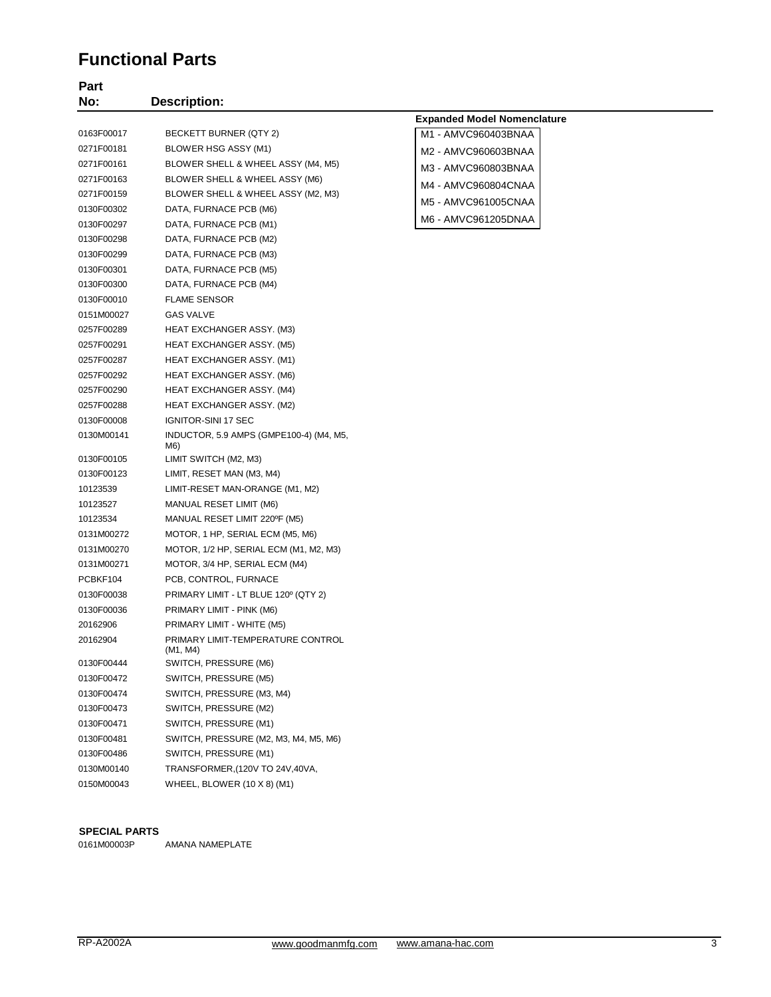#### **Functional Parts**

| Part<br>No: | <b>Description:</b>                            |                                    |
|-------------|------------------------------------------------|------------------------------------|
|             |                                                | <b>Expanded Model Nomenclature</b> |
| 0163F00017  | BECKETT BURNER (QTY 2)                         | M1 - AMVC960403BNAA                |
| 0271F00181  | BLOWER HSG ASSY (M1)                           | M2 - AMVC960603BNAA                |
| 0271F00161  | BLOWER SHELL & WHEEL ASSY (M4, M5)             |                                    |
| 0271F00163  | BLOWER SHELL & WHEEL ASSY (M6)                 | M3 - AMVC960803BNAA                |
| 0271F00159  | BLOWER SHELL & WHEEL ASSY (M2, M3)             | M4 - AMVC960804CNAA                |
| 0130F00302  | DATA, FURNACE PCB (M6)                         | M5 - AMVC961005CNAA                |
| 0130F00297  | DATA, FURNACE PCB (M1)                         | M6 - AMVC961205DNAA                |
| 0130F00298  | DATA, FURNACE PCB (M2)                         |                                    |
| 0130F00299  | DATA, FURNACE PCB (M3)                         |                                    |
| 0130F00301  | DATA, FURNACE PCB (M5)                         |                                    |
| 0130F00300  | DATA, FURNACE PCB (M4)                         |                                    |
| 0130F00010  | <b>FLAME SENSOR</b>                            |                                    |
| 0151M00027  | GAS VALVE                                      |                                    |
| 0257F00289  | <b>HEAT EXCHANGER ASSY. (M3)</b>               |                                    |
| 0257F00291  | HEAT EXCHANGER ASSY. (M5)                      |                                    |
| 0257F00287  | HEAT EXCHANGER ASSY. (M1)                      |                                    |
| 0257F00292  | HEAT EXCHANGER ASSY. (M6)                      |                                    |
| 0257F00290  | HEAT EXCHANGER ASSY. (M4)                      |                                    |
| 0257F00288  | HEAT EXCHANGER ASSY. (M2)                      |                                    |
| 0130F00008  | IGNITOR-SINI 17 SEC                            |                                    |
| 0130M00141  | INDUCTOR, 5.9 AMPS (GMPE100-4) (M4, M5,<br>M6) |                                    |
| 0130F00105  | LIMIT SWITCH (M2, M3)                          |                                    |
| 0130F00123  | LIMIT, RESET MAN (M3, M4)                      |                                    |
| 10123539    | LIMIT-RESET MAN-ORANGE (M1, M2)                |                                    |
| 10123527    | MANUAL RESET LIMIT (M6)                        |                                    |
| 10123534    | MANUAL RESET LIMIT 220°F (M5)                  |                                    |
| 0131M00272  | MOTOR, 1 HP, SERIAL ECM (M5, M6)               |                                    |
| 0131M00270  | MOTOR, 1/2 HP, SERIAL ECM (M1, M2, M3)         |                                    |
| 0131M00271  | MOTOR, 3/4 HP, SERIAL ECM (M4)                 |                                    |
| PCBKF104    | PCB, CONTROL, FURNACE                          |                                    |
| 0130F00038  | PRIMARY LIMIT - LT BLUE 120° (QTY 2)           |                                    |
| 0130F00036  | PRIMARY LIMIT - PINK (M6)                      |                                    |
| 20162906    | PRIMARY LIMIT - WHITE (M5)                     |                                    |
| 20162904    | PRIMARY LIMIT-TEMPERATURE CONTROL<br>(M1, M4)  |                                    |
| 0130F00444  | SWITCH, PRESSURE (M6)                          |                                    |
| 0130F00472  | SWITCH, PRESSURE (M5)                          |                                    |
| 0130F00474  | SWITCH, PRESSURE (M3, M4)                      |                                    |
| 0130F00473  | SWITCH, PRESSURE (M2)                          |                                    |
| 0130F00471  | SWITCH, PRESSURE (M1)                          |                                    |
| 0130F00481  | SWITCH, PRESSURE (M2, M3, M4, M5, M6)          |                                    |
| 0130F00486  | SWITCH, PRESSURE (M1)                          |                                    |
| 0130M00140  | TRANSFORMER, (120V TO 24V, 40VA,               |                                    |
| 0150M00043  | WHEEL, BLOWER (10 X 8) (M1)                    |                                    |

#### **SPECIAL PARTS**

0161M00003P AMANA NAMEPLATE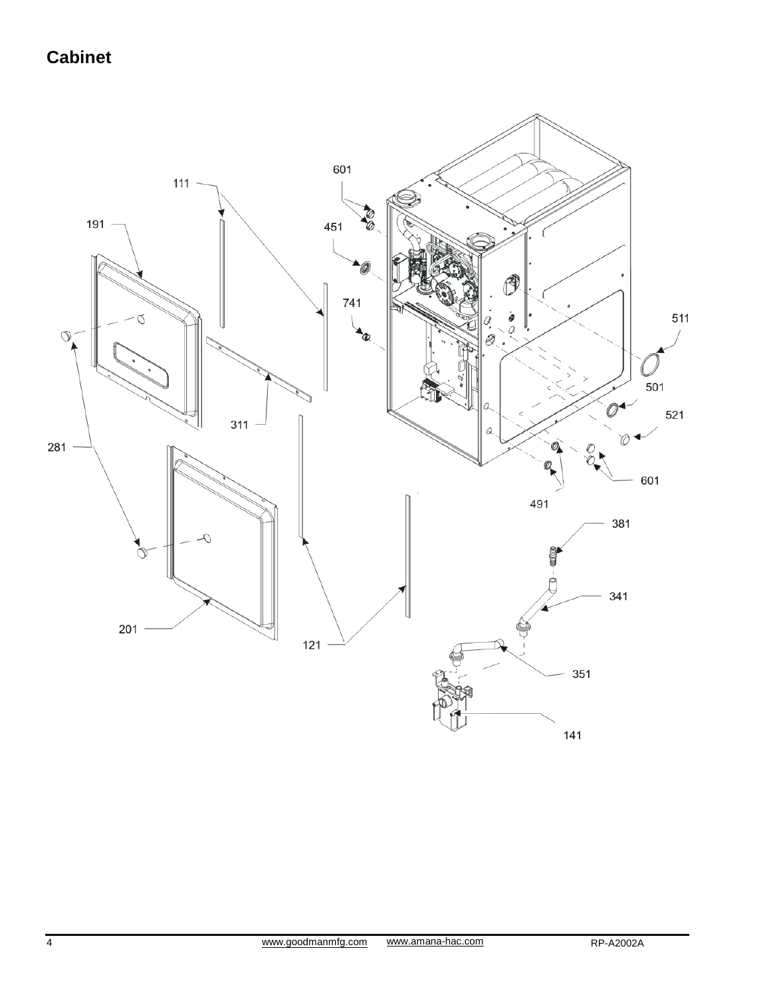# **Cabinet**

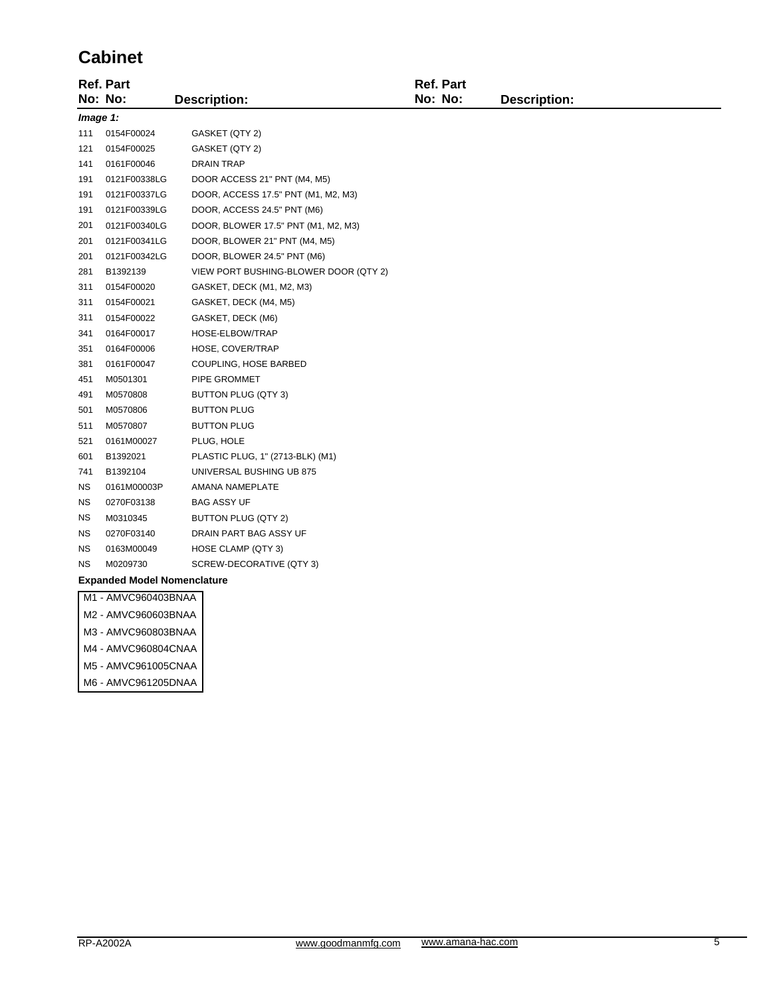#### **Cabinet**

|                                    | <b>Ref. Part</b>    |                                       | <b>Ref. Part</b> |                     |
|------------------------------------|---------------------|---------------------------------------|------------------|---------------------|
|                                    | No: No:             | <b>Description:</b>                   | No: No:          | <b>Description:</b> |
| Image 1:                           |                     |                                       |                  |                     |
| 111                                | 0154F00024          | GASKET (QTY 2)                        |                  |                     |
| 121                                | 0154F00025          | GASKET (QTY 2)                        |                  |                     |
| 141                                | 0161F00046          | <b>DRAIN TRAP</b>                     |                  |                     |
| 191                                | 0121F00338LG        | DOOR ACCESS 21" PNT (M4, M5)          |                  |                     |
| 191                                | 0121F00337LG        | DOOR, ACCESS 17.5" PNT (M1, M2, M3)   |                  |                     |
| 191                                | 0121F00339LG        | DOOR, ACCESS 24.5" PNT (M6)           |                  |                     |
| 201                                | 0121F00340LG        | DOOR, BLOWER 17.5" PNT (M1, M2, M3)   |                  |                     |
| 201                                | 0121F00341LG        | DOOR, BLOWER 21" PNT (M4, M5)         |                  |                     |
| 201                                | 0121F00342LG        | DOOR, BLOWER 24.5" PNT (M6)           |                  |                     |
| 281                                | B1392139            | VIEW PORT BUSHING-BLOWER DOOR (QTY 2) |                  |                     |
| 311                                | 0154F00020          | GASKET, DECK (M1, M2, M3)             |                  |                     |
| 311                                | 0154F00021          | GASKET, DECK (M4, M5)                 |                  |                     |
| 311                                | 0154F00022          | GASKET, DECK (M6)                     |                  |                     |
| 341                                | 0164F00017          | HOSE-ELBOW/TRAP                       |                  |                     |
| 351                                | 0164F00006          | HOSE, COVER/TRAP                      |                  |                     |
| 381                                | 0161F00047          | COUPLING, HOSE BARBED                 |                  |                     |
| 451                                | M0501301            | PIPE GROMMET                          |                  |                     |
| 491                                | M0570808            | BUTTON PLUG (QTY 3)                   |                  |                     |
| 501                                | M0570806            | <b>BUTTON PLUG</b>                    |                  |                     |
| 511                                | M0570807            | <b>BUTTON PLUG</b>                    |                  |                     |
| 521                                | 0161M00027          | PLUG, HOLE                            |                  |                     |
| 601                                | B1392021            | PLASTIC PLUG, 1" (2713-BLK) (M1)      |                  |                     |
| 741                                | B1392104            | UNIVERSAL BUSHING UB 875              |                  |                     |
| ΝS                                 | 0161M00003P         | AMANA NAMEPLATE                       |                  |                     |
| <b>NS</b>                          | 0270F03138          | <b>BAG ASSY UF</b>                    |                  |                     |
| <b>NS</b>                          | M0310345            | BUTTON PLUG (QTY 2)                   |                  |                     |
| ΝS                                 | 0270F03140          | DRAIN PART BAG ASSY UF                |                  |                     |
| ΝS                                 | 0163M00049          | HOSE CLAMP (QTY 3)                    |                  |                     |
| <b>NS</b>                          | M0209730            | SCREW-DECORATIVE (QTY 3)              |                  |                     |
| <b>Expanded Model Nomenclature</b> |                     |                                       |                  |                     |
|                                    | M1 - AMVC960403BNAA |                                       |                  |                     |
|                                    | M2 - AMVC960603BNAA |                                       |                  |                     |
|                                    | M3 - AMVC960803BNAA |                                       |                  |                     |
|                                    | M4 - AMVC960804CNAA |                                       |                  |                     |

M5 - AMVC961005CNAA M6 - AMVC961205DNAA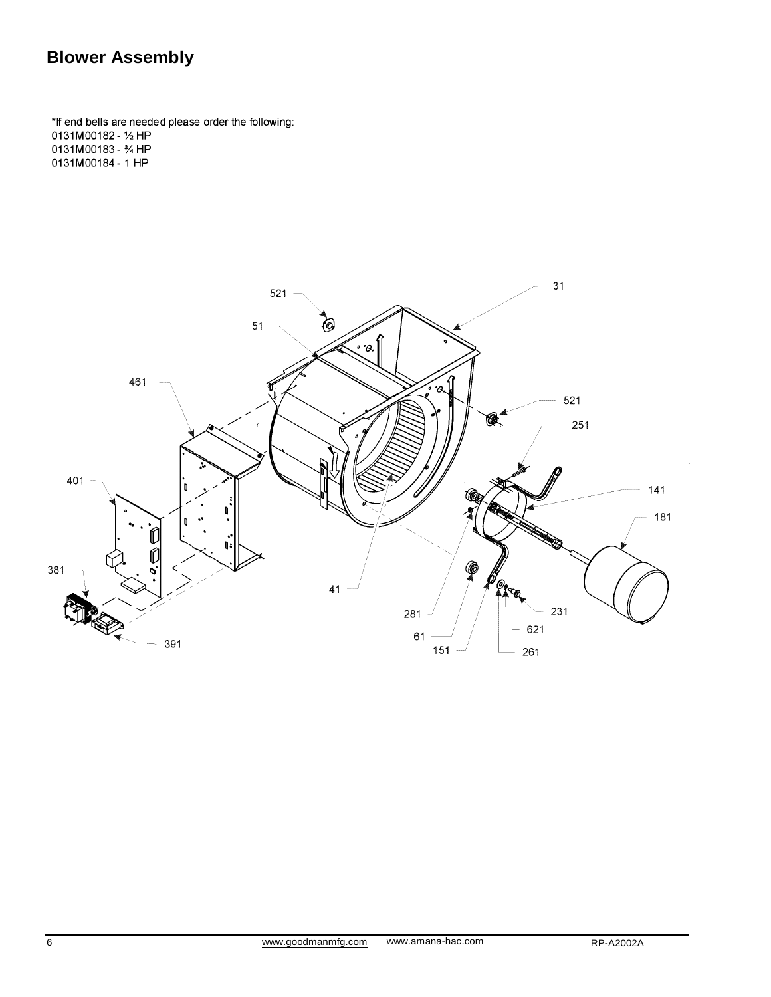## **Blower Assembly**

\*If end bells are needed please order the following: 0131M00182 - 1/2 HP 0131M00183 - 34 HP 0131M00184 - 1 HP

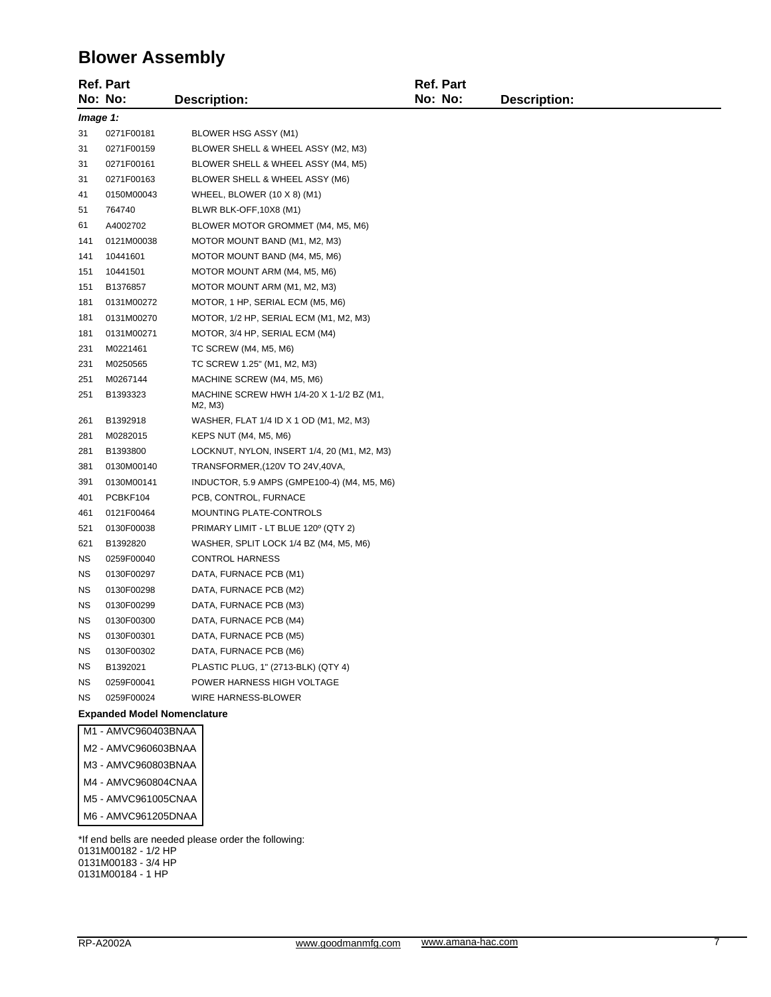### **Blower Assembly**

|           | <b>Ref. Part</b>                   |                                                     | <b>Ref. Part</b> |                     |
|-----------|------------------------------------|-----------------------------------------------------|------------------|---------------------|
|           | No: No:                            | <b>Description:</b>                                 | No: No:          | <b>Description:</b> |
| Image 1:  |                                    |                                                     |                  |                     |
| 31        | 0271F00181                         | BLOWER HSG ASSY (M1)                                |                  |                     |
| 31        | 0271F00159                         | BLOWER SHELL & WHEEL ASSY (M2, M3)                  |                  |                     |
| 31        | 0271F00161                         | BLOWER SHELL & WHEEL ASSY (M4, M5)                  |                  |                     |
| 31        | 0271F00163                         | BLOWER SHELL & WHEEL ASSY (M6)                      |                  |                     |
| 41        | 0150M00043                         | WHEEL, BLOWER $(10 \times 8)$ (M1)                  |                  |                     |
| 51        | 764740                             | BLWR BLK-OFF, 10X8 (M1)                             |                  |                     |
| 61        | A4002702                           | BLOWER MOTOR GROMMET (M4, M5, M6)                   |                  |                     |
| 141       | 0121M00038                         | MOTOR MOUNT BAND (M1, M2, M3)                       |                  |                     |
| 141       | 10441601                           | MOTOR MOUNT BAND (M4, M5, M6)                       |                  |                     |
| 151       | 10441501                           | MOTOR MOUNT ARM (M4, M5, M6)                        |                  |                     |
| 151       | B1376857                           | MOTOR MOUNT ARM (M1, M2, M3)                        |                  |                     |
| 181       | 0131M00272                         | MOTOR, 1 HP, SERIAL ECM (M5, M6)                    |                  |                     |
| 181       | 0131M00270                         | MOTOR, 1/2 HP, SERIAL ECM (M1, M2, M3)              |                  |                     |
| 181       | 0131M00271                         | MOTOR, 3/4 HP, SERIAL ECM (M4)                      |                  |                     |
| 231       | M0221461                           | TC SCREW (M4, M5, M6)                               |                  |                     |
| 231       | M0250565                           | TC SCREW 1.25" (M1, M2, M3)                         |                  |                     |
| 251       | M0267144                           | MACHINE SCREW (M4, M5, M6)                          |                  |                     |
| 251       | B1393323                           | MACHINE SCREW HWH 1/4-20 X 1-1/2 BZ (M1,<br>M2, M3) |                  |                     |
| 261       | B1392918                           | WASHER, FLAT 1/4 ID X 1 OD (M1, M2, M3)             |                  |                     |
| 281       | M0282015                           | KEPS NUT (M4, M5, M6)                               |                  |                     |
| 281       | B1393800                           | LOCKNUT, NYLON, INSERT 1/4, 20 (M1, M2, M3)         |                  |                     |
| 381       | 0130M00140                         | TRANSFORMER, (120V TO 24V, 40VA,                    |                  |                     |
| 391       | 0130M00141                         | INDUCTOR, 5.9 AMPS (GMPE100-4) (M4, M5, M6)         |                  |                     |
| 401       | PCBKF104                           | PCB, CONTROL, FURNACE                               |                  |                     |
| 461       | 0121F00464                         | MOUNTING PLATE-CONTROLS                             |                  |                     |
| 521       | 0130F00038                         | PRIMARY LIMIT - LT BLUE 120° (QTY 2)                |                  |                     |
| 621       | B1392820                           | WASHER, SPLIT LOCK 1/4 BZ (M4, M5, M6)              |                  |                     |
| ΝS        | 0259F00040                         | <b>CONTROL HARNESS</b>                              |                  |                     |
| ΝS        | 0130F00297                         | DATA, FURNACE PCB (M1)                              |                  |                     |
| ΝS        | 0130F00298                         | DATA, FURNACE PCB (M2)                              |                  |                     |
| ΝS        | 0130F00299                         | DATA, FURNACE PCB (M3)                              |                  |                     |
| ΝS        | 0130F00300                         | DATA, FURNACE PCB (M4)                              |                  |                     |
| <b>NS</b> | 0130F00301                         | DATA, FURNACE PCB (M5)                              |                  |                     |
| ΝS        | 0130F00302                         | DATA, FURNACE PCB (M6)                              |                  |                     |
| ΝS        | B1392021                           | PLASTIC PLUG, 1" (2713-BLK) (QTY 4)                 |                  |                     |
| ΝS        | 0259F00041                         | POWER HARNESS HIGH VOLTAGE                          |                  |                     |
| NS.       | 0259F00024                         | WIRE HARNESS-BLOWER                                 |                  |                     |
|           | <b>Expanded Model Nomenclature</b> |                                                     |                  |                     |
|           | M1 - AMVC960403BNAA                |                                                     |                  |                     |
|           | M2 - AMVC960603BNAA                |                                                     |                  |                     |
|           | M3 - AMVC960803BNAA                |                                                     |                  |                     |
|           | M4 - AMVC960804CNAA                |                                                     |                  |                     |
|           | M5 - AMVC961005CNAA                |                                                     |                  |                     |

\*If end bells are needed please order the following: 0131M00182 - 1/2 HP 0131M00183 - 3/4 HP 0131M00184 - 1 HP

M6 - AMVC961205DNAA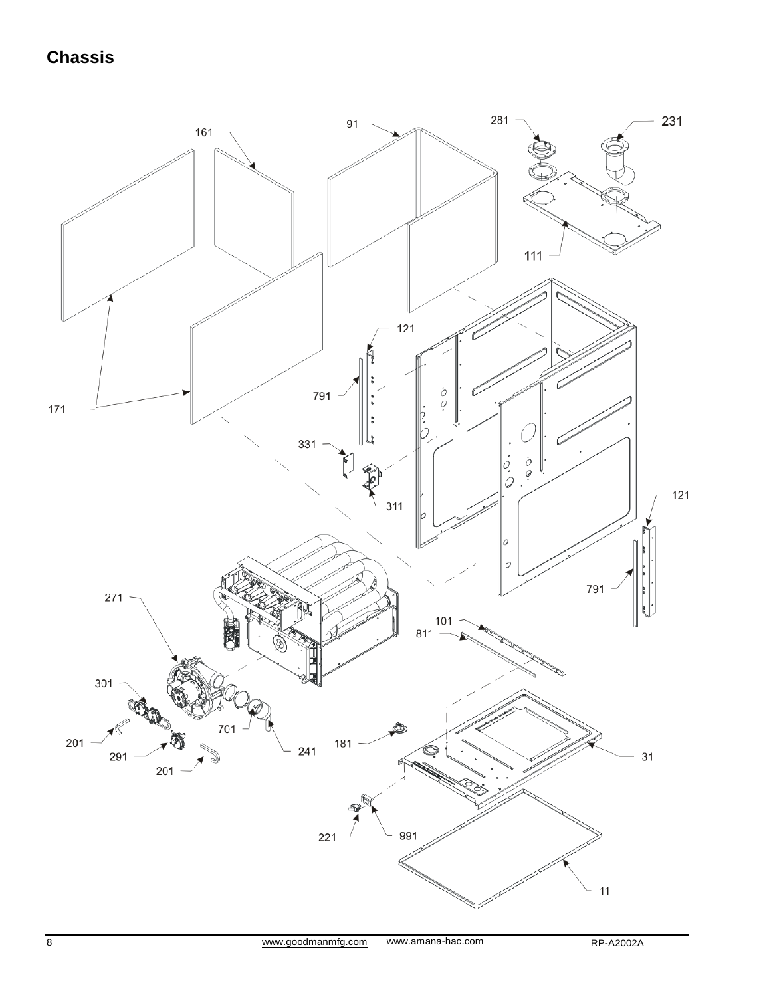## **Chassis**

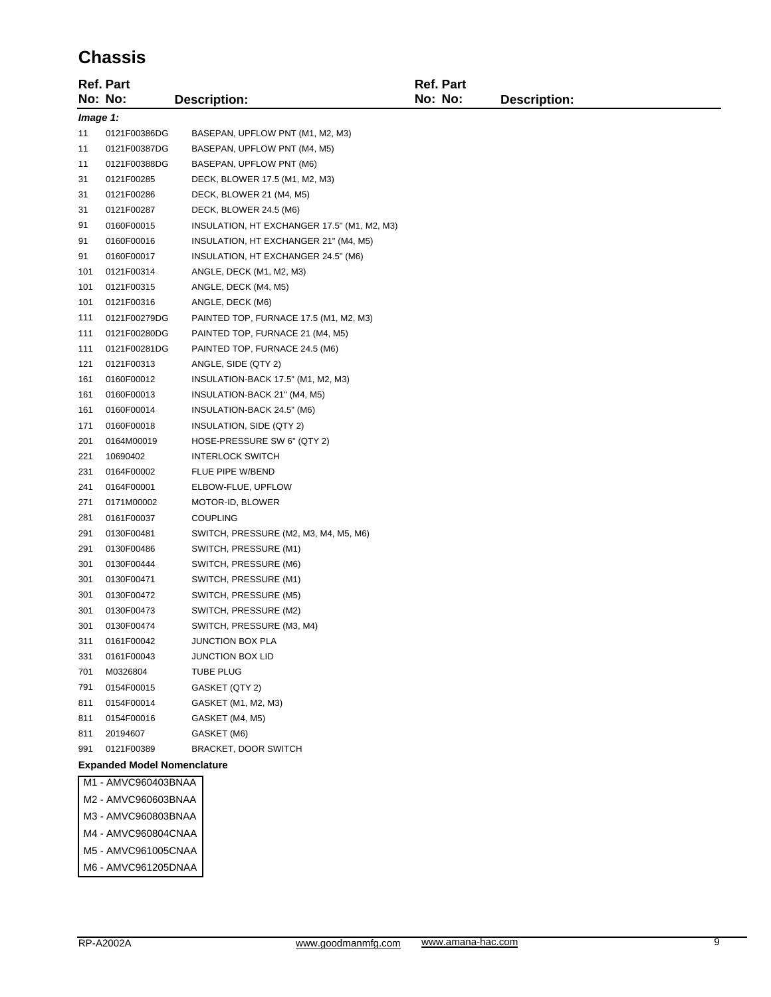#### **Chassis**

|          | <b>Ref. Part</b>                   |                                             | <b>Ref. Part</b> |                     |
|----------|------------------------------------|---------------------------------------------|------------------|---------------------|
|          | No: No:                            | <b>Description:</b>                         | No: No:          | <b>Description:</b> |
| Image 1: |                                    |                                             |                  |                     |
| 11       | 0121F00386DG                       | BASEPAN, UPFLOW PNT (M1, M2, M3)            |                  |                     |
| 11       | 0121F00387DG                       | BASEPAN, UPFLOW PNT (M4, M5)                |                  |                     |
| 11       | 0121F00388DG                       | BASEPAN, UPFLOW PNT (M6)                    |                  |                     |
| 31       | 0121F00285                         | DECK, BLOWER 17.5 (M1, M2, M3)              |                  |                     |
| 31       | 0121F00286                         | DECK, BLOWER 21 (M4, M5)                    |                  |                     |
| 31       | 0121F00287                         | DECK, BLOWER 24.5 (M6)                      |                  |                     |
| 91       | 0160F00015                         | INSULATION, HT EXCHANGER 17.5" (M1, M2, M3) |                  |                     |
| 91       | 0160F00016                         | INSULATION, HT EXCHANGER 21" (M4, M5)       |                  |                     |
| 91       | 0160F00017                         | INSULATION, HT EXCHANGER 24.5" (M6)         |                  |                     |
| 101      | 0121F00314                         | ANGLE, DECK (M1, M2, M3)                    |                  |                     |
| 101      | 0121F00315                         | ANGLE, DECK (M4, M5)                        |                  |                     |
| 101      | 0121F00316                         | ANGLE, DECK (M6)                            |                  |                     |
| 111      | 0121F00279DG                       | PAINTED TOP, FURNACE 17.5 (M1, M2, M3)      |                  |                     |
| 111      | 0121F00280DG                       | PAINTED TOP, FURNACE 21 (M4, M5)            |                  |                     |
| 111      | 0121F00281DG                       | PAINTED TOP, FURNACE 24.5 (M6)              |                  |                     |
| 121      | 0121F00313                         | ANGLE, SIDE (QTY 2)                         |                  |                     |
| 161      | 0160F00012                         | INSULATION-BACK 17.5" (M1, M2, M3)          |                  |                     |
| 161      | 0160F00013                         | INSULATION-BACK 21" (M4, M5)                |                  |                     |
| 161      | 0160F00014                         | INSULATION-BACK 24.5" (M6)                  |                  |                     |
| 171      | 0160F00018                         | INSULATION, SIDE (QTY 2)                    |                  |                     |
| 201      | 0164M00019                         | HOSE-PRESSURE SW 6" (QTY 2)                 |                  |                     |
| 221      | 10690402                           | <b>INTERLOCK SWITCH</b>                     |                  |                     |
| 231      | 0164F00002                         | FLUE PIPE W/BEND                            |                  |                     |
| 241      | 0164F00001                         | ELBOW-FLUE, UPFLOW                          |                  |                     |
| 271      | 0171M00002                         | MOTOR-ID, BLOWER                            |                  |                     |
| 281      | 0161F00037                         | <b>COUPLING</b>                             |                  |                     |
| 291      | 0130F00481                         | SWITCH, PRESSURE (M2, M3, M4, M5, M6)       |                  |                     |
| 291      | 0130F00486                         | SWITCH, PRESSURE (M1)                       |                  |                     |
| 301      | 0130F00444                         | SWITCH, PRESSURE (M6)                       |                  |                     |
| 301      | 0130F00471                         | SWITCH, PRESSURE (M1)                       |                  |                     |
| 301      | 0130F00472                         | SWITCH, PRESSURE (M5)                       |                  |                     |
| 301      | 0130F00473                         | SWITCH, PRESSURE (M2)                       |                  |                     |
| 301      | 0130F00474                         | SWITCH, PRESSURE (M3, M4)                   |                  |                     |
| 311      | 0161F00042                         | JUNCTION BOX PLA                            |                  |                     |
| 331      | 0161F00043                         | <b>JUNCTION BOX LID</b>                     |                  |                     |
| 701      | M0326804                           | <b>TUBE PLUG</b>                            |                  |                     |
| 791      | 0154F00015                         | GASKET (QTY 2)                              |                  |                     |
| 811      | 0154F00014                         | GASKET (M1, M2, M3)                         |                  |                     |
| 811      | 0154F00016                         | GASKET (M4, M5)                             |                  |                     |
| 811      | 20194607                           | GASKET (M6)                                 |                  |                     |
| 991      | 0121F00389                         | <b>BRACKET, DOOR SWITCH</b>                 |                  |                     |
|          | <b>Expanded Model Nomenclature</b> |                                             |                  |                     |
|          | M1 - AMVC960403BNAA                |                                             |                  |                     |
|          | M2 - AMVC960603BNAA                |                                             |                  |                     |
|          | M2 AMAICOROOODNIAA                 |                                             |                  |                     |

- M3 AMVC960803BNAA M4 - AMVC960804CNAA M5 - AMVC961005CNAA
- M6 AMVC961205DNAA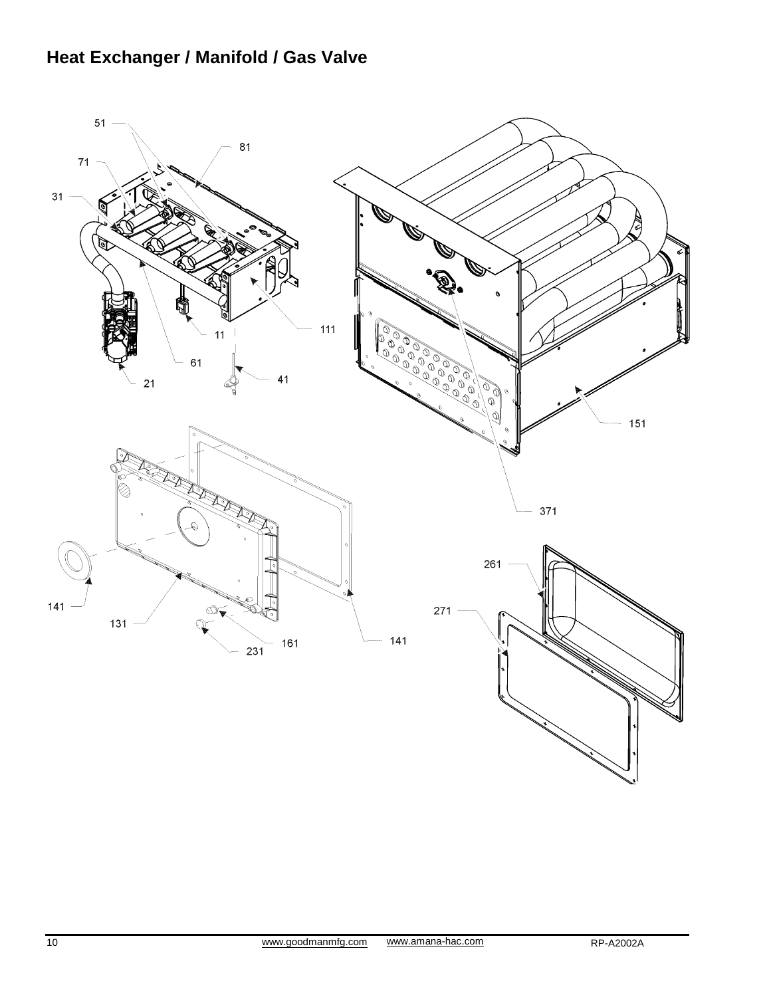## **Heat Exchanger / Manifold / Gas Valve**